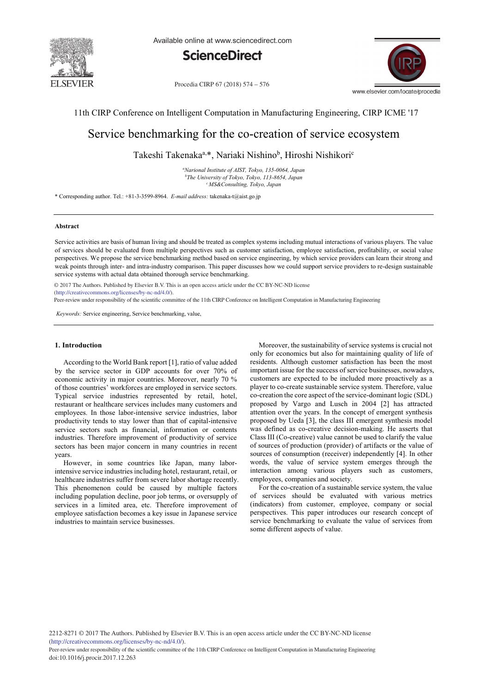

Available online at www.sciencedirect.com



Procedia CIRP 67 (2018) 574 - 576



11th CIRP Conference on Intelligent Computation in Manufacturing Engineering, CIRP ICME '17

## Service benchmarking for the co-creation of service ecosystem

Takeshi Takenaka<sup>a,\*</sup>, Nariaki Nishino<sup>b</sup>, Hiroshi Nishikori<sup>c</sup>

*a Narional Institute of AIST, Tokyo, 135-0064, Japan b The University of Tokyo, Tokyo, 113-8654, Japan c MS&Consulting, Tokyo, Japan* 

\* Corresponding author. Tel.: +81-3-3599-8964. *E-mail address:* takenaka-t@aist.go.jp

#### **Abstract**

Service activities are basis of human living and should be treated as complex systems including mutual interactions of various players. The value of services should be evaluated from multiple perspectives such as customer satisfaction, employee satisfaction, profitability, or social value perspectives. We propose the service benchmarking method based on service engineering, by which service providers can learn their strong and weak points through inter- and intra-industry comparison. This paper discusses how we could support service providers to re-design sustainable service systems with actual data obtained thorough service benchmarking.

© 2017 The Authors. Published by Elsevier B.V. © 2017 The Authors. Published by Elsevier B.V. This is an open access article under the CC BY-NC-ND license (http://creativecommons.org/licenses/by-nc-nd/4.0/).

Peer-review under responsibility of the scientific committee of the 11th CIRP Conference on Intelligent Computation in Manufacturing Engineering

*Keywords:* Service engineering, Service benchmarking, value,

#### **1. Introduction**

According to the World Bank report [1], ratio of value added by the service sector in GDP accounts for over 70% of economic activity in major countries. Moreover, nearly 70 % of those countries' workforces are employed in service sectors. Typical service industries represented by retail, hotel, restaurant or healthcare services includes many customers and employees. In those labor-intensive service industries, labor productivity tends to stay lower than that of capital-intensive service sectors such as financial, information or contents industries. Therefore improvement of productivity of service sectors has been major concern in many countries in recent years.

However, in some countries like Japan, many laborintensive service industries including hotel, restaurant, retail, or healthcare industries suffer from severe labor shortage recently. This phenomenon could be caused by multiple factors including population decline, poor job terms, or oversupply of services in a limited area, etc. Therefore improvement of employee satisfaction becomes a key issue in Japanese service industries to maintain service businesses.

Moreover, the sustainability of service systems is crucial not only for economics but also for maintaining quality of life of residents. Although customer satisfaction has been the most important issue for the success of service businesses, nowadays, customers are expected to be included more proactively as a player to co-create sustainable service system. Therefore, value co-creation the core aspect of the service-dominant logic (SDL) proposed by Vargo and Lusch in 2004 [2] has attracted attention over the years. In the concept of emergent synthesis proposed by Ueda [3], the class III emergent synthesis model was defined as co-creative decision-making. He asserts that Class III (Co-creative) value cannot be used to clarify the value of sources of production (provider) of artifacts or the value of sources of consumption (receiver) independently [4]. In other words, the value of service system emerges through the interaction among various players such as customers, employees, companies and society.

For the co-creation of a sustainable service system, the value of services should be evaluated with various metrics (indicators) from customer, employee, company or social perspectives. This paper introduces our research concept of service benchmarking to evaluate the value of services from some different aspects of value.

2212-8271 © 2017 The Authors. Published by Elsevier B.V. This is an open access article under the CC BY-NC-ND license (http://creativecommons.org/licenses/by-nc-nd/4.0/).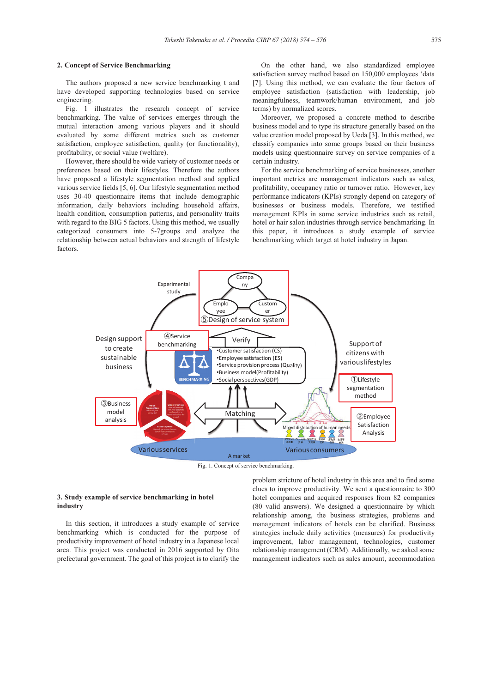#### **2. Concept of Service Benchmarking**

The authors proposed a new service benchmarking t and have developed supporting technologies based on service engineering.

Fig. 1 illustrates the research concept of service benchmarking. The value of services emerges through the mutual interaction among various players and it should evaluated by some different metrics such as customer satisfaction, employee satisfaction, quality (or functionality), profitability, or social value (welfare).

However, there should be wide variety of customer needs or preferences based on their lifestyles. Therefore the authors have proposed a lifestyle segmentation method and applied various service fields [5, 6]. Our lifestyle segmentation method uses 30-40 questionnaire items that include demographic information, daily behaviors including household affairs, health condition, consumption patterns, and personality traits with regard to the BIG 5 factors. Using this method, we usually categorized consumers into 5-7groups and analyze the relationship between actual behaviors and strength of lifestyle factors.

On the other hand, we also standardized employee satisfaction survey method based on 150,000 employees 'data [7]. Using this method, we can evaluate the four factors of employee satisfaction (satisfaction with leadership, job meaningfulness, teamwork/human environment, and job terms) by normalized scores.

Moreover, we proposed a concrete method to describe business model and to type its structure generally based on the value creation model proposed by Ueda [3]. In this method, we classify companies into some groups based on their business models using questionnaire survey on service companies of a certain industry.

For the service benchmarking of service businesses, another important metrics are management indicators such as sales, profitability, occupancy ratio or turnover ratio. However, key performance indicators (KPIs) strongly depend on category of businesses or business models. Therefore, we testified management KPIs in some service industries such as retail, hotel or hair salon industries through service benchmarking. In this paper, it introduces a study example of service benchmarking which target at hotel industry in Japan.



Fig. 1. Concept of service benchmarking.

### **3. Study example of service benchmarking in hotel industry**

In this section, it introduces a study example of service benchmarking which is conducted for the purpose of productivity improvement of hotel industry in a Japanese local area. This project was conducted in 2016 supported by Oita prefectural government. The goal of this project is to clarify the

problem stricture of hotel industry in this area and to find some clues to improve productivity. We sent a questionnaire to 300 hotel companies and acquired responses from 82 companies (80 valid answers). We designed a questionnaire by which relationship among, the business strategies, problems and management indicators of hotels can be clarified. Business strategies include daily activities (measures) for productivity improvement, labor management, technologies, customer relationship management (CRM). Additionally, we asked some management indicators such as sales amount, accommodation